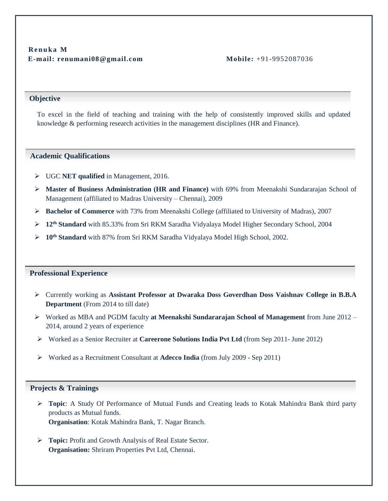### **Objective**

To excel in the field of teaching and training with the help of consistently improved skills and updated knowledge & performing research activities in the management disciplines (HR and Finance).

#### **Academic Qualifications**

- UGC **NET qualified** in Management, 2016.
- **Master of Business Administration (HR and Finance)** with 69% from Meenakshi Sundararajan School of Management (affiliated to Madras University – Chennai), 2009
- **Bachelor of Commerce** with 73% from Meenakshi College (affiliated to University of Madras), 2007
- **12th Standard** with 85.33% from Sri RKM Saradha Vidyalaya Model Higher Secondary School, 2004
- **10th Standard** with 87% from Sri RKM Saradha Vidyalaya Model High School, 2002.

#### **Professional Experience**

- Currently working as **Assistant Professor at Dwaraka Doss Goverdhan Doss Vaishnav College in B.B.A Department** (From 2014 to till date)
- Worked as MBA and PGDM faculty **at Meenakshi Sundararajan School of Management** from June 2012 2014, around 2 years of experience
- Worked as a Senior Recruiter at **Careerone Solutions India Pvt Ltd** (from Sep 2011- June 2012)
- Worked as a Recruitment Consultant at **Adecco India** (from July 2009 Sep 2011)

#### **Projects & Trainings**

- **Topic**: A Study Of Performance of Mutual Funds and Creating leads to Kotak Mahindra Bank third party products as Mutual funds. **Organisation**: Kotak Mahindra Bank, T. Nagar Branch.
- **Topic:** Profit and Growth Analysis of Real Estate Sector. **Organisation:** Shriram Properties Pvt Ltd, Chennai.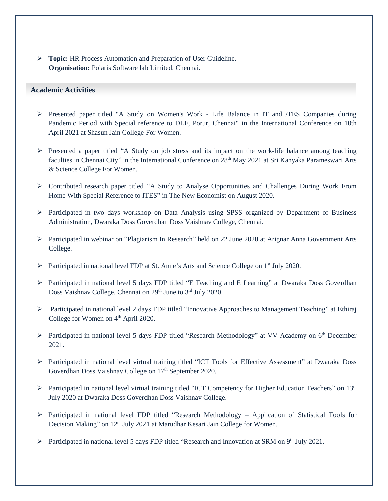**Topic:** HR Process Automation and Preparation of User Guideline. **Organisation:** Polaris Software lab Limited, Chennai.

### **Academic Activities**

Ī

- $\triangleright$  Presented paper titled "A Study on Women's Work Life Balance in IT and *TES* Companies during Pandemic Period with Special reference to DLF, Porur, Chennai" in the International Conference on 10th April 2021 at Shasun Jain College For Women.
- $\triangleright$  Presented a paper titled "A Study on job stress and its impact on the work-life balance among teaching faculties in Chennai City" in the International Conference on 28<sup>th</sup> May 2021 at Sri Kanyaka Parameswari Arts & Science College For Women.
- Contributed research paper titled "A Study to Analyse Opportunities and Challenges During Work From Home With Special Reference to ITES" in The New Economist on August 2020.
- $\triangleright$  Participated in two days workshop on Data Analysis using SPSS organized by Department of Business Administration, Dwaraka Doss Goverdhan Doss Vaishnav College, Chennai.
- Participated in webinar on "Plagiarism In Research" held on 22 June 2020 at Arignar Anna Government Arts College.
- Participated in national level FDP at St. Anne's Arts and Science College on  $1<sup>st</sup>$  July 2020.
- $\triangleright$  Participated in national level 5 days FDP titled "E Teaching and E Learning" at Dwaraka Doss Goverdhan Doss Vaishnav College, Chennai on 29<sup>th</sup> June to 3<sup>rd</sup> July 2020.
- Participated in national level 2 days FDP titled "Innovative Approaches to Management Teaching" at Ethiraj College for Women on 4<sup>th</sup> April 2020.
- Participated in national level 5 days FDP titled "Research Methodology" at VV Academy on  $6<sup>th</sup>$  December 2021.
- Participated in national level virtual training titled "ICT Tools for Effective Assessment" at Dwaraka Doss Goverdhan Doss Vaishnav College on 17<sup>th</sup> September 2020.
- Participated in national level virtual training titled "ICT Competency for Higher Education Teachers" on 13<sup>th</sup> July 2020 at Dwaraka Doss Goverdhan Doss Vaishnav College.
- $\triangleright$  Participated in national level FDP titled "Research Methodology Application of Statistical Tools for Decision Making" on 12<sup>th</sup> July 2021 at Marudhar Kesari Jain College for Women.
- ▶ Participated in national level 5 days FDP titled "Research and Innovation at SRM on 9<sup>th</sup> July 2021.